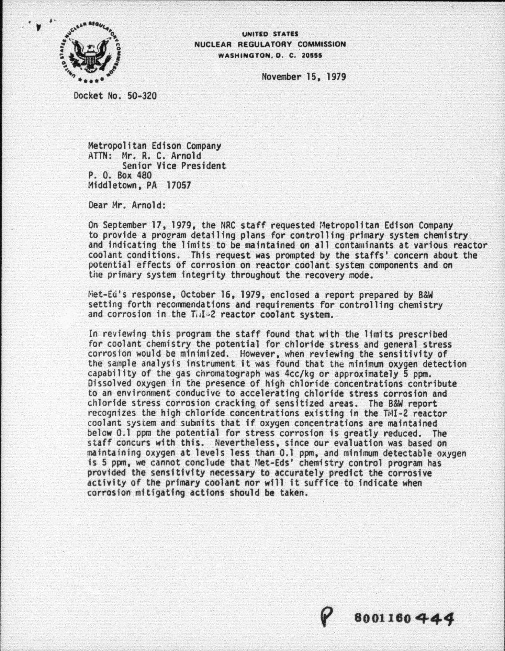

## NUCLEAR REGULA TORY COMMISSION WASHINGTON, D. C. 20555

November 15, 1979

Docket No. 50-320

Metropolitan Edison Company ATTN: Mr. R. C. Arnold Senior Vice President P. 0. Box 480 Middletown, PA 17057

Dear Mr. Arnold:

On September 17, 1979, the NRC staff requested Metropolitan Edison Company<br>to provide a program detailing plans for controlling primary system chemistry and indicating the limits to be maintained on all contaminants at various reactor coolant conditions. This request was prompted by the staffs' concern about the potential effects of corrosion on reactor coolant system components and on the primary system integrity throughout the recovery mode.

Met-Ed's response, October 16, 1979, enclosed a report prepared by B&W setting forth recommendations and requirements for controlling chemistry and corrosion in the Ti.I~2 reactor coolant system.

In reviewing this program the staff found that with the limits prescribed for coolant chemistry the potential for chloride stress and general stress corrosion would be minimized. However, when reviewing the sensitivity of the sample analysis instrument it was found that the minimum oxygen detection capability of the gas chromatograph was 4cc/kg or approximately 5 ppm. Dissolved oxygen in the presence of high chloride concentrations contribute to an environment conducive to accelerating chloride stress corrosion and chloride stress corrosion cracking of sensitized areas. The B&W report<br>recognizes the high chloride concentrations existing in the TMI-2 reactor coolant system and submits that if oxygen concentrations are maintained below 0.1 ppm the potential for stress corrosion is greatly reduced. The staff concurs with this. Nevertheless, since our evaluation was based on<br>maintaining oxygen at levels less than 0.1 ppm, and minimum detectable oxygen is 5 ppm, we cannot conclude that Met-Eds' chemistry control program has provided the sensitivity necessary to accurately predict the corrosive activity of the primary coolant *nor* will it suffice to indicate when corrosion mitigating actions should be taken.

~ **8001160441**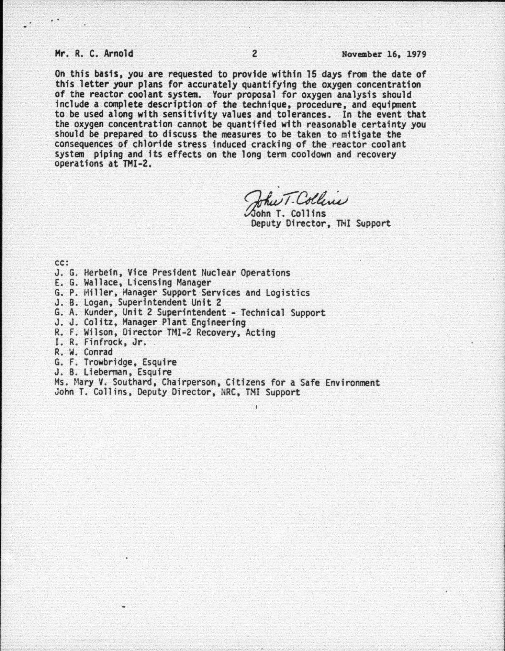## Mr. R. C. Arnold 2 November 16, 1979

..

On this basis, you are requested to provide within 15 days from the date of this letter your plans for accurately quantifying the oxygen concentration of the reactor coolant system. Your proposal for oxygen analysis should include a complete description of the technique, procedure, and equipment to be used along with sensitivity values and. tolerances. In the event that the oxygen concentration cannot be quantified with reasonable certainty you should be prepared to discuss the measures to be taken to mitigate the consequences of chloride stress induced cracking of the reactor coolant system piping and fts effects on the long term cooldown and recovery operations at THI-2.

.  $T$  $(1,1)$  $_{\alpha\alpha\omega}$ John T. Collins

Deputy Director, THI Support

- cc:<br>J. G. Herbein, Vice President Nuclear Operations
- 
- E. G. Wallace, Licensing Manager<br>G. P. Hiller, Manager Support Services and Logistics<br>J. B. Logan, Superintendent Unit 2
- 
- G. A. Kunder, Unit 2 Superintendent Technical Support J. J. Colitz, Manager Plant Engineering R. F. Wilson, Director TMI-2 Recovery, Acting I. R. Finfrock, Jr.
- 
- 
- 
- 
- R. W. Conrad<br>G. F. Trowbridge, Esquire
- 
- J. B. Lieberman, Esquire<br>Ms. Mary V. Southard, Chairperson, Citizens for a Safe Environment John T. Collins, Deputy Director, NRC, TMI Support